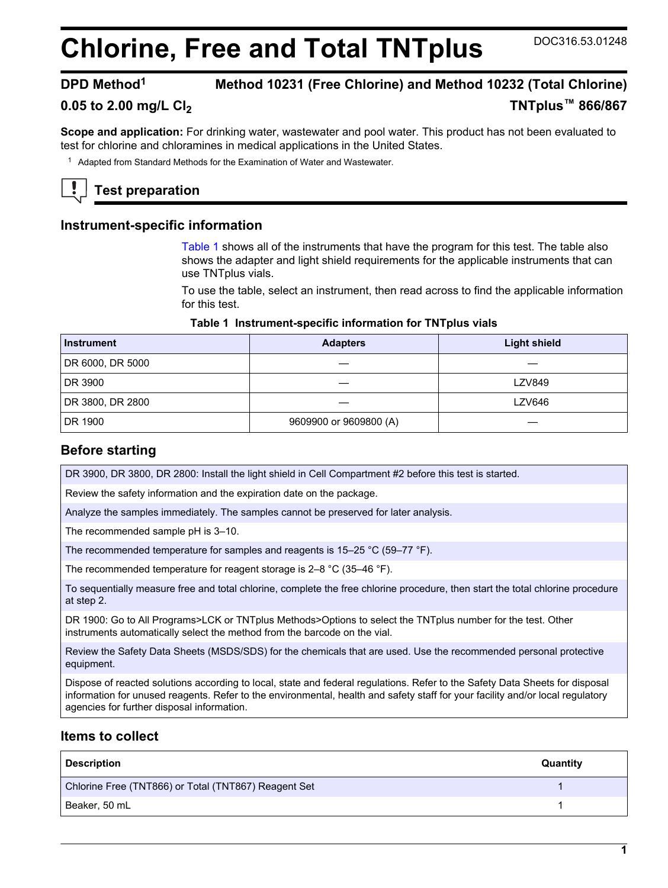# **Chlorine, Free and Total TNTplus** DOC316.53.01248

# **DPD Method<sup>1</sup> Method 10231 (Free Chlorine) and Method 10232 (Total Chlorine)**

# **0.05 to 2.00 mg/L Cl<sup>2</sup> TNTplus™ 866/867**

**Scope and application:** For drinking water, wastewater and pool water. This product has not been evaluated to test for chlorine and chloramines in medical applications in the United States.

<sup>1</sup> Adapted from Standard Methods for the Examination of Water and Wastewater.

# **Test preparation**

#### **Instrument-specific information**

[Table 1](#page-0-0) shows all of the instruments that have the program for this test. The table also shows the adapter and light shield requirements for the applicable instruments that can use TNTplus vials.

To use the table, select an instrument, then read across to find the applicable information for this test.

#### **Table 1 Instrument-specific information for TNTplus vials**

<span id="page-0-1"></span><span id="page-0-0"></span>

| <b>Instrument</b> | <b>Adapters</b>        | <b>Light shield</b> |
|-------------------|------------------------|---------------------|
| DR 6000, DR 5000  |                        |                     |
| DR 3900           |                        | <b>LZV849</b>       |
| DR 3800, DR 2800  |                        | LZV646              |
| DR 1900           | 9609900 or 9609800 (A) |                     |

## **Before starting**

DR 3900, DR 3800, DR 2800: Install the light shield in Cell Compartment #2 before this test is started.

Review the safety information and the expiration date on the package.

Analyze the samples immediately. The samples cannot be preserved for later analysis.

The recommended sample pH is 3–10.

The recommended temperature for samples and reagents is 15–25 °C (59–77 °F).

The recommended temperature for reagent storage is 2–8 °C (35–46 °F).

To sequentially measure free and total chlorine, complete the free chlorine procedure, then start the total chlorine procedure at step 2.

DR 1900: Go to All Programs>LCK or TNTplus Methods>Options to select the TNTplus number for the test. Other instruments automatically select the method from the barcode on the vial.

Review the Safety Data Sheets (MSDS/SDS) for the chemicals that are used. Use the recommended personal protective equipment.

Dispose of reacted solutions according to local, state and federal regulations. Refer to the Safety Data Sheets for disposal information for unused reagents. Refer to the environmental, health and safety staff for your facility and/or local regulatory agencies for further disposal information.

## **Items to collect**

| <b>Description</b>                                   | Quantity |
|------------------------------------------------------|----------|
| Chlorine Free (TNT866) or Total (TNT867) Reagent Set |          |
| Beaker, 50 mL                                        |          |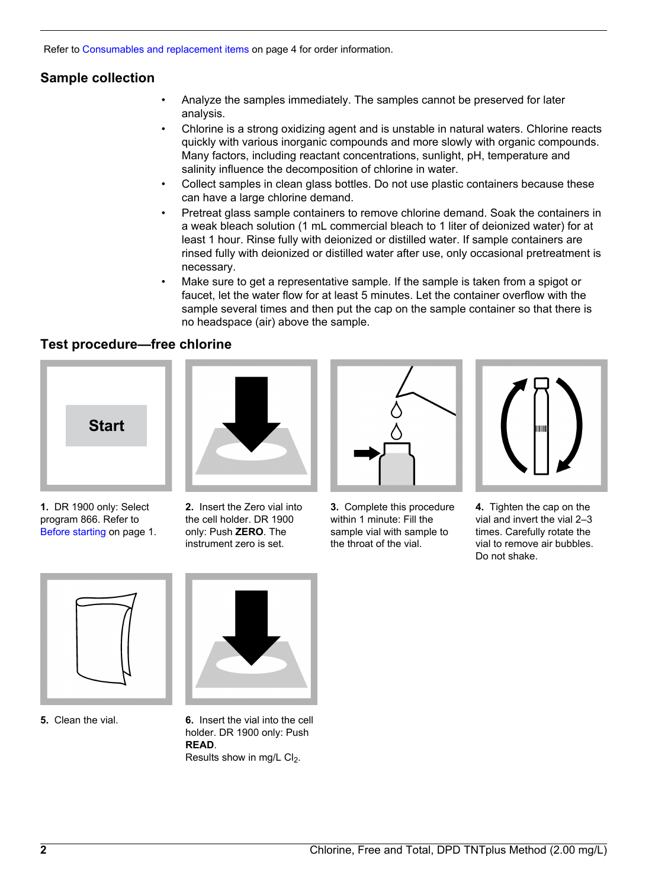Refer to [Consumables and replacement items](#page-3-0) on page 4 for order information.

# **Sample collection**

- Analyze the samples immediately. The samples cannot be preserved for later analysis.
- Chlorine is a strong oxidizing agent and is unstable in natural waters. Chlorine reacts quickly with various inorganic compounds and more slowly with organic compounds. Many factors, including reactant concentrations, sunlight, pH, temperature and salinity influence the decomposition of chlorine in water.
- Collect samples in clean glass bottles. Do not use plastic containers because these can have a large chlorine demand.
- Pretreat glass sample containers to remove chlorine demand. Soak the containers in a weak bleach solution (1 mL commercial bleach to 1 liter of deionized water) for at least 1 hour. Rinse fully with deionized or distilled water. If sample containers are rinsed fully with deionized or distilled water after use, only occasional pretreatment is necessary.
- Make sure to get a representative sample. If the sample is taken from a spigot or faucet, let the water flow for at least 5 minutes. Let the container overflow with the sample several times and then put the cap on the sample container so that there is no headspace (air) above the sample.

# **Test procedure—free chlorine**



**1.** DR 1900 only: Select program 866. Refer to [Before starting](#page-0-1) on page 1.



**2.** Insert the Zero vial into the cell holder. DR 1900 only: Push **ZERO**. The instrument zero is set.



**3.** Complete this procedure within 1 minute: Fill the sample vial with sample to the throat of the vial.



**4.** Tighten the cap on the vial and invert the vial 2–3 times. Carefully rotate the vial to remove air bubbles. Do not shake.





**5.** Clean the vial. **6.** Insert the vial into the cell holder. DR 1900 only: Push **READ**. Results show in mg/L  $Cl<sub>2</sub>$ .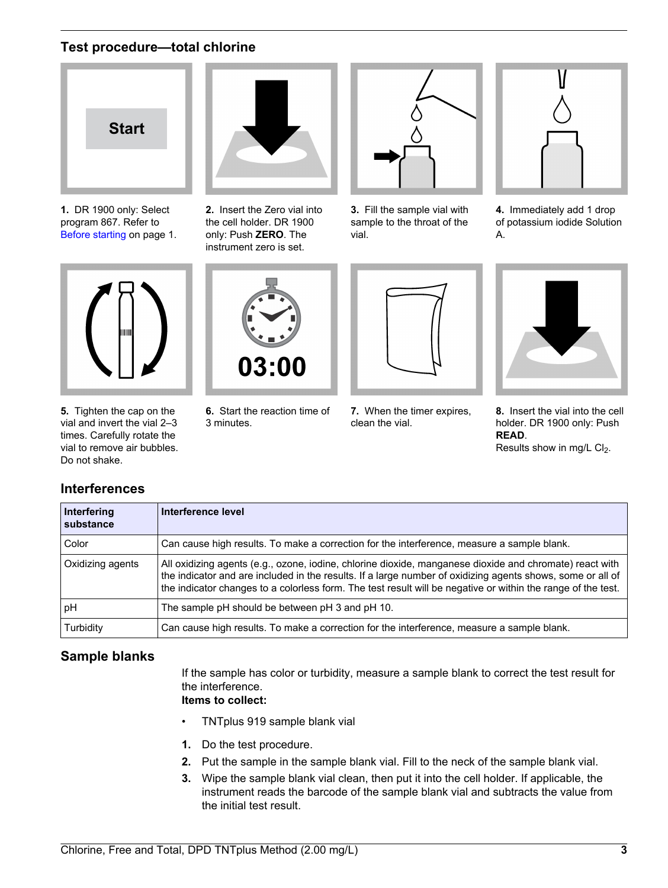# **Test procedure—total chlorine**



**1.** DR 1900 only: Select program 867. Refer to [Before starting](#page-0-1) on page 1.



**5.** Tighten the cap on the vial and invert the vial 2–3 times. Carefully rotate the vial to remove air bubbles. Do not shake.

**Interferences**



**2.** Insert the Zero vial into the cell holder. DR 1900 only: Push **ZERO**. The instrument zero is set.



**3.** Fill the sample vial with sample to the throat of the vial.



**4.** Immediately add 1 drop of potassium iodide Solution A.



**6.** Start the reaction time of 3 minutes.

**7.** When the timer expires, clean the vial.



**8.** Insert the vial into the cell holder. DR 1900 only: Push **READ**. Results show in mg/L  $Cl<sub>2</sub>$ .

| Interfering<br>substance | Interference level                                                                                                                                                                                                                                                                                                                    |
|--------------------------|---------------------------------------------------------------------------------------------------------------------------------------------------------------------------------------------------------------------------------------------------------------------------------------------------------------------------------------|
| Color                    | Can cause high results. To make a correction for the interference, measure a sample blank.                                                                                                                                                                                                                                            |
| Oxidizing agents         | All oxidizing agents (e.g., ozone, iodine, chlorine dioxide, manganese dioxide and chromate) react with<br>the indicator and are included in the results. If a large number of oxidizing agents shows, some or all of<br>the indicator changes to a colorless form. The test result will be negative or within the range of the test. |
| рH                       | The sample pH should be between pH 3 and pH 10.                                                                                                                                                                                                                                                                                       |
| Turbidity                | Can cause high results. To make a correction for the interference, measure a sample blank.                                                                                                                                                                                                                                            |

# **Sample blanks**

If the sample has color or turbidity, measure a sample blank to correct the test result for the interference.

**Items to collect:**

- TNTplus 919 sample blank vial
- **1.** Do the test procedure.
- **2.** Put the sample in the sample blank vial. Fill to the neck of the sample blank vial.
- **3.** Wipe the sample blank vial clean, then put it into the cell holder. If applicable, the instrument reads the barcode of the sample blank vial and subtracts the value from the initial test result.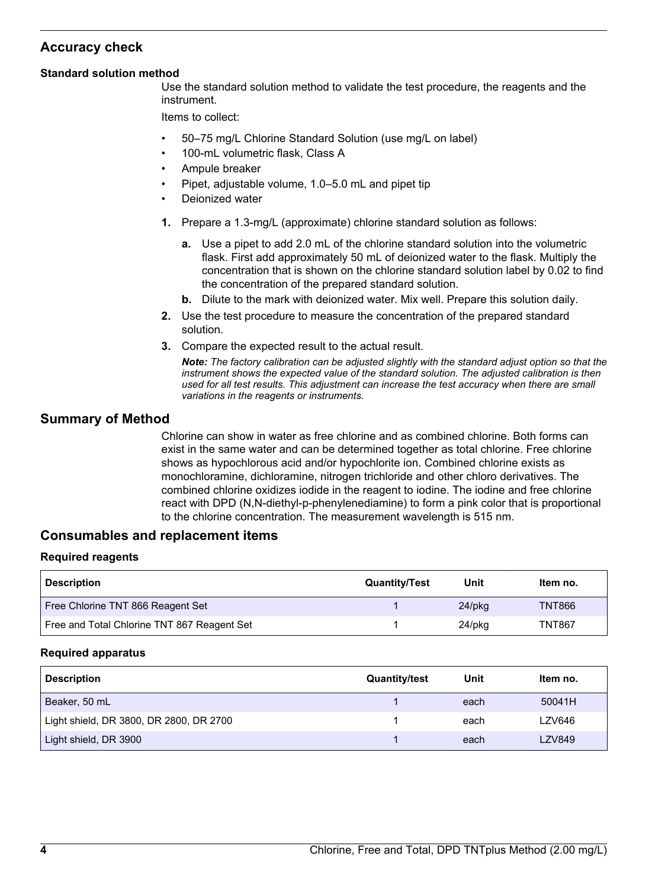# **Accuracy check**

#### **Standard solution method**

Use the standard solution method to validate the test procedure, the reagents and the instrument.

Items to collect:

- 50–75 mg/L Chlorine Standard Solution (use mg/L on label)
- 100-mL volumetric flask, Class A
- Ampule breaker
- Pipet, adjustable volume, 1.0–5.0 mL and pipet tip
- Deionized water
- **1.** Prepare a 1.3-mg/L (approximate) chlorine standard solution as follows:
	- **a.** Use a pipet to add 2.0 mL of the chlorine standard solution into the volumetric flask. First add approximately 50 mL of deionized water to the flask. Multiply the concentration that is shown on the chlorine standard solution label by 0.02 to find the concentration of the prepared standard solution.
	- **b.** Dilute to the mark with deionized water. Mix well. Prepare this solution daily.
- **2.** Use the test procedure to measure the concentration of the prepared standard solution.
- **3.** Compare the expected result to the actual result.

*Note: The factory calibration can be adjusted slightly with the standard adjust option so that the instrument shows the expected value of the standard solution. The adjusted calibration is then used for all test results. This adjustment can increase the test accuracy when there are small variations in the reagents or instruments.*

## **Summary of Method**

Chlorine can show in water as free chlorine and as combined chlorine. Both forms can exist in the same water and can be determined together as total chlorine. Free chlorine shows as hypochlorous acid and/or hypochlorite ion. Combined chlorine exists as monochloramine, dichloramine, nitrogen trichloride and other chloro derivatives. The combined chlorine oxidizes iodide in the reagent to iodine. The iodine and free chlorine react with DPD (N,N-diethyl-p-phenylenediamine) to form a pink color that is proportional to the chlorine concentration. The measurement wavelength is 515 nm.

## **Consumables and replacement items**

#### **Required reagents**

<span id="page-3-0"></span>

| <b>Description</b>                          | <b>Quantity/Test</b> | Unit      | Item no.      |
|---------------------------------------------|----------------------|-----------|---------------|
| Free Chlorine TNT 866 Reagent Set           |                      | $24$ /pkq | TNT866        |
| Free and Total Chlorine TNT 867 Reagent Set |                      | 24/pkg    | <b>TNT867</b> |

#### **Required apparatus**

| <b>Description</b>                      | <b>Quantity/test</b> | Unit | ltem no.      |
|-----------------------------------------|----------------------|------|---------------|
| Beaker, 50 mL                           |                      | each | 50041H        |
| Light shield, DR 3800, DR 2800, DR 2700 |                      | each | LZV646        |
| Light shield, DR 3900                   |                      | each | <b>LZV849</b> |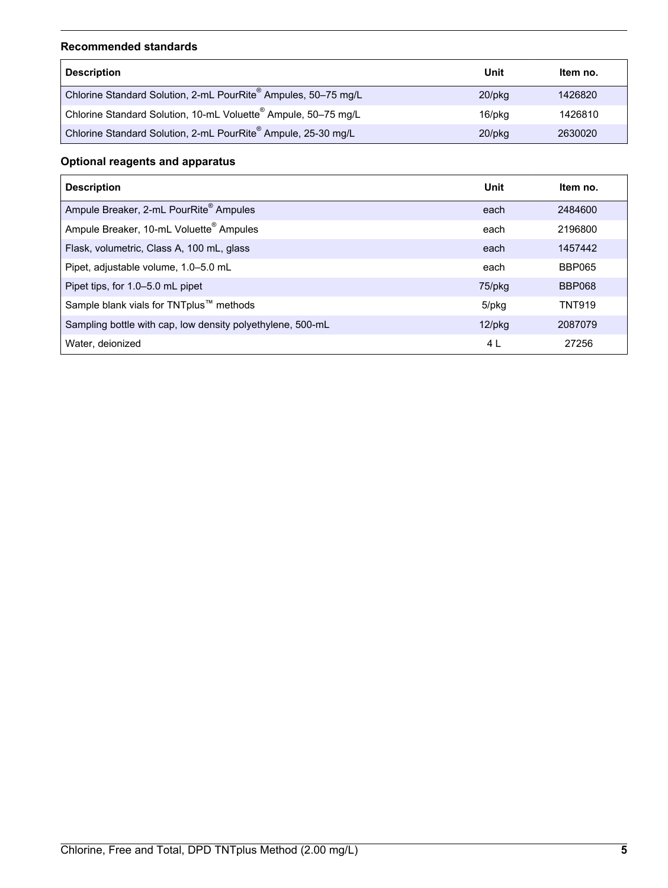#### **Recommended standards**

| <b>Description</b>                                                         | Unit      | Item no. |
|----------------------------------------------------------------------------|-----------|----------|
| Chlorine Standard Solution, 2-mL PourRite® Ampules, 50-75 mg/L             | $20$ /pkg | 1426820  |
| Chlorine Standard Solution, 10-mL Voluette <sup>®</sup> Ampule, 50-75 mg/L | 16/pkg    | 1426810  |
| Chlorine Standard Solution, 2-mL PourRite® Ampule, 25-30 mg/L              | $20$ /pkg | 2630020  |

# **Optional reagents and apparatus**

| <b>Description</b>                                         | Unit      | Item no.      |
|------------------------------------------------------------|-----------|---------------|
| Ampule Breaker, 2-mL PourRite <sup>®</sup> Ampules         | each      | 2484600       |
| Ampule Breaker, 10-mL Voluette <sup>®</sup> Ampules        | each      | 2196800       |
| Flask, volumetric, Class A, 100 mL, glass                  | each      | 1457442       |
| Pipet, adjustable volume, 1.0-5.0 mL                       | each      | <b>BBP065</b> |
| Pipet tips, for 1.0–5.0 mL pipet                           | 75/pkg    | <b>BBP068</b> |
| Sample blank vials for TNTplus™ methods                    | 5/pkg     | <b>TNT919</b> |
| Sampling bottle with cap, low density polyethylene, 500-mL | $12$ /pkg | 2087079       |
| Water, deionized                                           | 4 L       | 27256         |